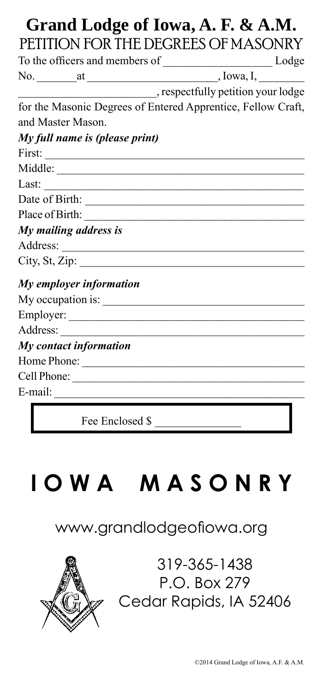## **Grand Lodge of Iowa, A. F. & A.M.** PETITION FOR THE DEGREES OF MASONRY

|                                | No. $at$ at $f(x)$ , Iowa, I, Iowa, I, Iowa, I, Iowa, I, Iowa, I, Iowa, I, Iowa, I, Iowa, I, Iowa, I, Iowa, I, Iowa, I, Iowa, I, Iowa, I, Iowa, I, Iowa, I, Iowa, I, Iowa, I, Iowa, I, Iowa, I, Iowa, I, Iowa, I, Iowa, I, Iowa, |  |
|--------------------------------|----------------------------------------------------------------------------------------------------------------------------------------------------------------------------------------------------------------------------------|--|
|                                |                                                                                                                                                                                                                                  |  |
|                                | for the Masonic Degrees of Entered Apprentice, Fellow Craft,                                                                                                                                                                     |  |
| and Master Mason.              |                                                                                                                                                                                                                                  |  |
| My full name is (please print) |                                                                                                                                                                                                                                  |  |
| First: $\qquad \qquad$         |                                                                                                                                                                                                                                  |  |
|                                |                                                                                                                                                                                                                                  |  |
|                                |                                                                                                                                                                                                                                  |  |
|                                |                                                                                                                                                                                                                                  |  |
|                                |                                                                                                                                                                                                                                  |  |
| My mailing address is          |                                                                                                                                                                                                                                  |  |
|                                |                                                                                                                                                                                                                                  |  |
| City, St, Zip: $\frac{1}{2}$   |                                                                                                                                                                                                                                  |  |
| My employer information        |                                                                                                                                                                                                                                  |  |
|                                |                                                                                                                                                                                                                                  |  |
|                                |                                                                                                                                                                                                                                  |  |
|                                |                                                                                                                                                                                                                                  |  |
| My contact information         |                                                                                                                                                                                                                                  |  |
|                                |                                                                                                                                                                                                                                  |  |
|                                |                                                                                                                                                                                                                                  |  |
|                                |                                                                                                                                                                                                                                  |  |
|                                |                                                                                                                                                                                                                                  |  |

Fee Enclosed \$ \_\_\_\_\_\_\_\_\_\_\_\_\_\_\_

# **I O W A M A S O N R Y**

## www.grandlodgeofiowa.org



319-365-1438 P.O. Box 279 Cedar Rapids, IA 52406